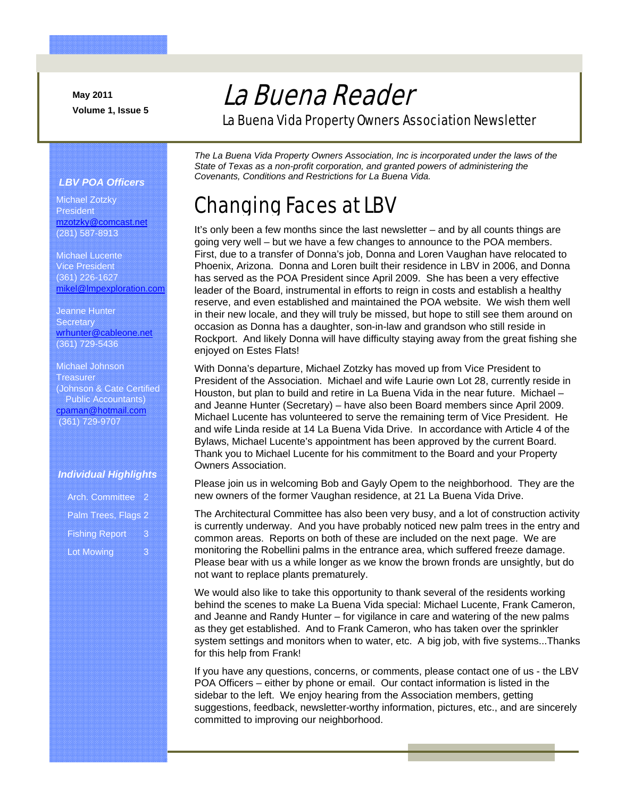**May 2011 Volume 1, Issue 5** 

# La Buena Reader

La Buena Vida Property Owners Association Newsletter

### *LBV POA Officers*

Michael Zotzky President mzotzky@comcast.net (281) 587-8913

Michael Lucente Vice President (361) 226-1627 mikel@lmpexploration.com

Jeanne Hunter **Secretary** wrhunter@cableone.net (361) 729-5436

Michael Johnson **Treasurer** (Johnson & Cate Certified Public Accountants) cpaman@hotmail.com (361) 729-9707

### *Individual Highlights*

| <b>Arch. Committee</b> | 2 |
|------------------------|---|
| Palm Trees, Flags 2    |   |
| <b>Fishing Report</b>  | З |
| Lot Mowing             | Ω |

*The La Buena Vida Property Owners Association, Inc is incorporated under the laws of the State of Texas as a non-profit corporation, and granted powers of administering the Covenants, Conditions and Restrictions for La Buena Vida.* 

# Changing Faces at LBV

It's only been a few months since the last newsletter – and by all counts things are going very well – but we have a few changes to announce to the POA members. First, due to a transfer of Donna's job, Donna and Loren Vaughan have relocated to Phoenix, Arizona. Donna and Loren built their residence in LBV in 2006, and Donna has served as the POA President since April 2009. She has been a very effective leader of the Board, instrumental in efforts to reign in costs and establish a healthy reserve, and even established and maintained the POA website. We wish them well in their new locale, and they will truly be missed, but hope to still see them around on occasion as Donna has a daughter, son-in-law and grandson who still reside in Rockport. And likely Donna will have difficulty staying away from the great fishing she enjoyed on Estes Flats!

With Donna's departure, Michael Zotzky has moved up from Vice President to President of the Association. Michael and wife Laurie own Lot 28, currently reside in Houston, but plan to build and retire in La Buena Vida in the near future. Michael – and Jeanne Hunter (Secretary) – have also been Board members since April 2009. Michael Lucente has volunteered to serve the remaining term of Vice President. He and wife Linda reside at 14 La Buena Vida Drive. In accordance with Article 4 of the Bylaws, Michael Lucente's appointment has been approved by the current Board. Thank you to Michael Lucente for his commitment to the Board and your Property Owners Association.

Please join us in welcoming Bob and Gayly Opem to the neighborhood. They are the new owners of the former Vaughan residence, at 21 La Buena Vida Drive.

The Architectural Committee has also been very busy, and a lot of construction activity is currently underway. And you have probably noticed new palm trees in the entry and common areas. Reports on both of these are included on the next page. We are monitoring the Robellini palms in the entrance area, which suffered freeze damage. Please bear with us a while longer as we know the brown fronds are unsightly, but do not want to replace plants prematurely.

We would also like to take this opportunity to thank several of the residents working behind the scenes to make La Buena Vida special: Michael Lucente, Frank Cameron, and Jeanne and Randy Hunter – for vigilance in care and watering of the new palms as they get established. And to Frank Cameron, who has taken over the sprinkler system settings and monitors when to water, etc. A big job, with five systems...Thanks for this help from Frank!

If you have any questions, concerns, or comments, please contact one of us - the LBV POA Officers – either by phone or email. Our contact information is listed in the sidebar to the left. We enjoy hearing from the Association members, getting suggestions, feedback, newsletter-worthy information, pictures, etc., and are sincerely committed to improving our neighborhood.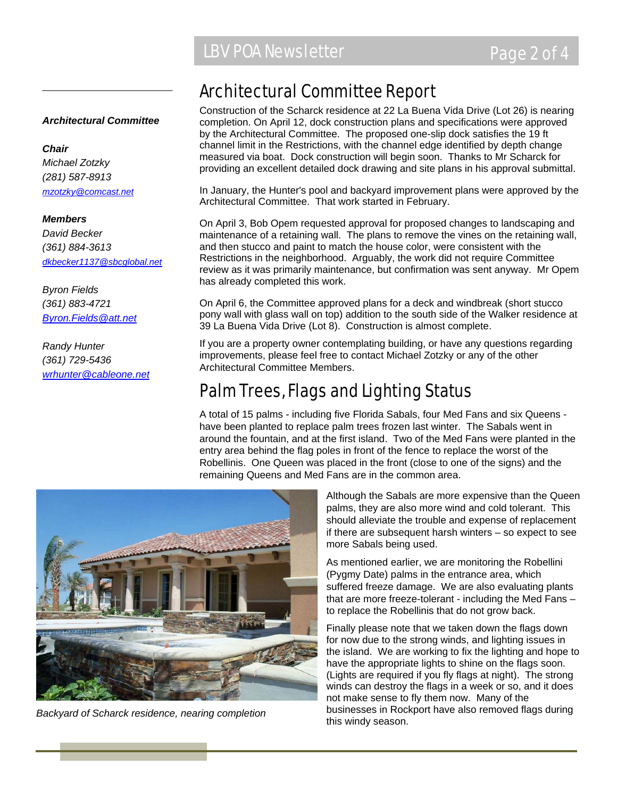### *Architectural Committee*

*Chair Michael Zotzky (281) 587-8913 mzotzky@comcast.net*

### *Members*

*David Becker (361) 884-3613 dkbecker1137@sbcglobal.net*

*Byron Fields (361) 883-4721 Byron.Fields@att.net*

*Randy Hunter (361) 729-5436 wrhunter@cableone.net*

## Architectural Committee Report

Construction of the Scharck residence at 22 La Buena Vida Drive (Lot 26) is nearing completion. On April 12, dock construction plans and specifications were approved by the Architectural Committee. The proposed one-slip dock satisfies the 19 ft channel limit in the Restrictions, with the channel edge identified by depth change measured via boat. Dock construction will begin soon. Thanks to Mr Scharck for providing an excellent detailed dock drawing and site plans in his approval submittal.

In January, the Hunter's pool and backyard improvement plans were approved by the Architectural Committee. That work started in February.

On April 3, Bob Opem requested approval for proposed changes to landscaping and maintenance of a retaining wall. The plans to remove the vines on the retaining wall, and then stucco and paint to match the house color, were consistent with the Restrictions in the neighborhood. Arguably, the work did not require Committee review as it was primarily maintenance, but confirmation was sent anyway. Mr Opem has already completed this work.

On April 6, the Committee approved plans for a deck and windbreak (short stucco pony wall with glass wall on top) addition to the south side of the Walker residence at 39 La Buena Vida Drive (Lot 8). Construction is almost complete.

If you are a property owner contemplating building, or have any questions regarding improvements, please feel free to contact Michael Zotzky or any of the other Architectural Committee Members.

## Palm Trees, Flags and Lighting Status

A total of 15 palms - including five Florida Sabals, four Med Fans and six Queens have been planted to replace palm trees frozen last winter. The Sabals went in around the fountain, and at the first island. Two of the Med Fans were planted in the entry area behind the flag poles in front of the fence to replace the worst of the Robellinis. One Queen was placed in the front (close to one of the signs) and the remaining Queens and Med Fans are in the common area.



this windy season. *Backyard of Scharck residence, nearing completion* 

Although the Sabals are more expensive than the Queen palms, they are also more wind and cold tolerant. This should alleviate the trouble and expense of replacement if there are subsequent harsh winters – so expect to see more Sabals being used.

As mentioned earlier, we are monitoring the Robellini (Pygmy Date) palms in the entrance area, which suffered freeze damage. We are also evaluating plants that are more freeze-tolerant - including the Med Fans – to replace the Robellinis that do not grow back.

Finally please note that we taken down the flags down for now due to the strong winds, and lighting issues in the island. We are working to fix the lighting and hope to have the appropriate lights to shine on the flags soon. (Lights are required if you fly flags at night). The strong winds can destroy the flags in a week or so, and it does not make sense to fly them now. Many of the businesses in Rockport have also removed flags during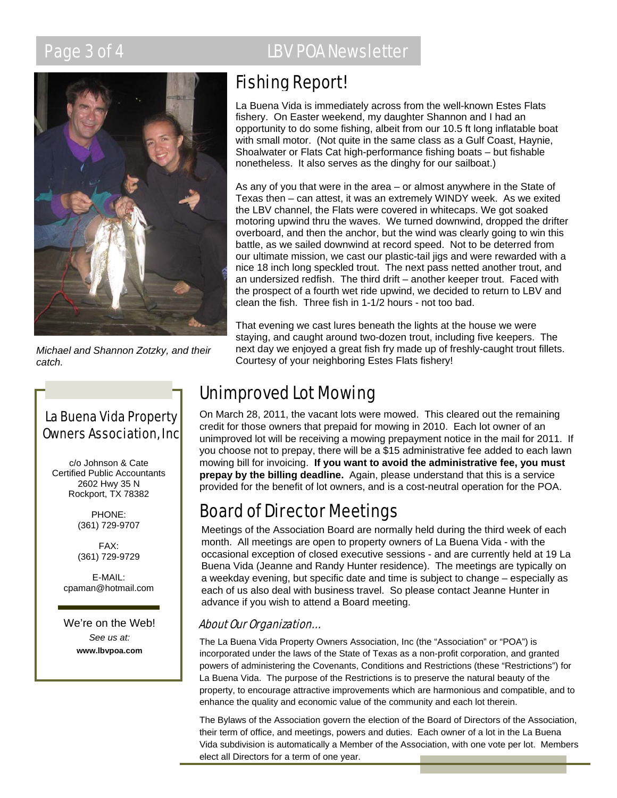

*Michael and Shannon Zotzky, and their catch.* 

## La Buena Vida Property Owners Association, Inc

c/o Johnson & Cate Certified Public Accountants 2602 Hwy 35 N Rockport, TX 78382

> PHONE: (361) 729-9707

FAX: (361) 729-9729

E-MAIL: cpaman@hotmail.com

*See us at:* 

**www.lbvpoa.com** 

# Fishing Report!

La Buena Vida is immediately across from the well-known Estes Flats fishery. On Easter weekend, my daughter Shannon and I had an opportunity to do some fishing, albeit from our 10.5 ft long inflatable boat with small motor. (Not quite in the same class as a Gulf Coast, Haynie, Shoalwater or Flats Cat high-performance fishing boats – but fishable nonetheless. It also serves as the dinghy for our sailboat.)

As any of you that were in the area – or almost anywhere in the State of Texas then – can attest, it was an extremely WINDY week. As we exited the LBV channel, the Flats were covered in whitecaps. We got soaked motoring upwind thru the waves. We turned downwind, dropped the drifter overboard, and then the anchor, but the wind was clearly going to win this battle, as we sailed downwind at record speed. Not to be deterred from our ultimate mission, we cast our plastic-tail jigs and were rewarded with a nice 18 inch long speckled trout. The next pass netted another trout, and an undersized redfish. The third drift – another keeper trout. Faced with the prospect of a fourth wet ride upwind, we decided to return to LBV and clean the fish. Three fish in 1-1/2 hours - not too bad.

That evening we cast lures beneath the lights at the house we were staying, and caught around two-dozen trout, including five keepers. The next day we enjoyed a great fish fry made up of freshly-caught trout fillets. Courtesy of your neighboring Estes Flats fishery!

# Unimproved Lot Mowing

On March 28, 2011, the vacant lots were mowed. This cleared out the remaining credit for those owners that prepaid for mowing in 2010. Each lot owner of an unimproved lot will be receiving a mowing prepayment notice in the mail for 2011. If you choose not to prepay, there will be a \$15 administrative fee added to each lawn mowing bill for invoicing. **If you want to avoid the administrative fee, you must prepay by the billing deadline.** Again, please understand that this is a service provided for the benefit of lot owners, and is a cost-neutral operation for the POA.

# Board of Director Meetings

Meetings of the Association Board are normally held during the third week of each month. All meetings are open to property owners of La Buena Vida - with the occasional exception of closed executive sessions - and are currently held at 19 La Buena Vida (Jeanne and Randy Hunter residence). The meetings are typically on a weekday evening, but specific date and time is subject to change – especially as each of us also deal with business travel. So please contact Jeanne Hunter in advance if you wish to attend a Board meeting.

## We're on the Web! **About Our Organization...**

The La Buena Vida Property Owners Association, Inc (the "Association" or "POA") is incorporated under the laws of the State of Texas as a non-profit corporation, and granted powers of administering the Covenants, Conditions and Restrictions (these "Restrictions") for La Buena Vida. The purpose of the Restrictions is to preserve the natural beauty of the property, to encourage attractive improvements which are harmonious and compatible, and to enhance the quality and economic value of the community and each lot therein.

The Bylaws of the Association govern the election of the Board of Directors of the Association, their term of office, and meetings, powers and duties. Each owner of a lot in the La Buena Vida subdivision is automatically a Member of the Association, with one vote per lot. Members elect all Directors for a term of one year.